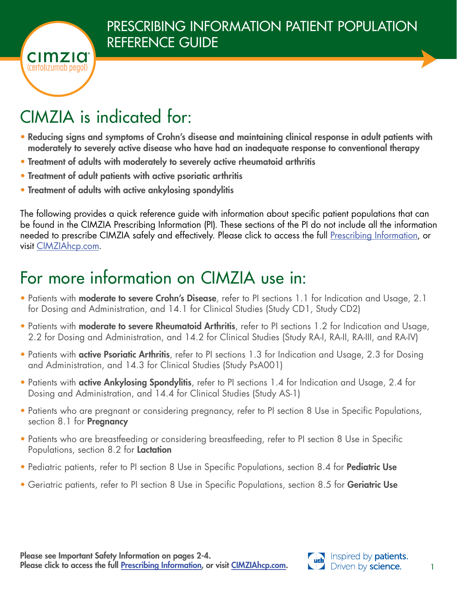

# CIMZIA is indicated for:

- Reducing signs and symptoms of Crohn's disease and maintaining clinical response in adult patients with moderately to severely active disease who have had an inadequate response to conventional therapy
- Treatment of adults with moderately to severely active rheumatoid arthritis
- Treatment of adult patients with active psoriatic arthritis
- Treatment of adults with active ankylosing spondylitis

The following provides a quick reference guide with information about specific patient populations that can be found in the CIMZIA Prescribing Information (PI). These sections of the PI do not include all the information needed to prescribe CIMZIA safely and effectively. Please click to access the full [Prescribing Information,](https://www.cimzia.com/sites/default/files/docs/Prescribing_Information.pdf) or visit [CIMZIAhcp.com.](www.cimziahcp.com)

## For more information on CIMZIA use in:

- Patients with **moderate to severe Crohn's Disease**, refer to PI sections 1.1 for Indication and Usage, 2.1 for Dosing and Administration, and 14.1 for Clinical Studies (Study CD1, Study CD2)
- Patients with **moderate to severe Rheumatoid Arthritis**, refer to PI sections 1.2 for Indication and Usage, 2.2 for Dosing and Administration, and 14.2 for Clinical Studies (Study RA-I, RA-II, RA-III, and RA-IV)
- Patients with **active Psoriatic Arthritis**, refer to PI sections 1.3 for Indication and Usage, 2.3 for Dosing and Administration, and 14.3 for Clinical Studies (Study PsA001)
- Patients with **active Ankylosing Spondylitis**, refer to PI sections 1.4 for Indication and Usage, 2.4 for Dosing and Administration, and 14.4 for Clinical Studies (Study AS-1)
- Patients who are pregnant or considering pregnancy, refer to PI section 8 Use in Specific Populations, section 8.1 for **Pregnancy**
- Patients who are breastfeeding or considering breastfeeding, refer to PI section 8 Use in Specific Populations, section 8.2 for Lactation
- Pediatric patients, refer to PI section 8 Use in Specific Populations, section 8.4 for Pediatric Use
- Geriatric patients, refer to PI section 8 Use in Specific Populations, section 8.5 for Geriatric Use

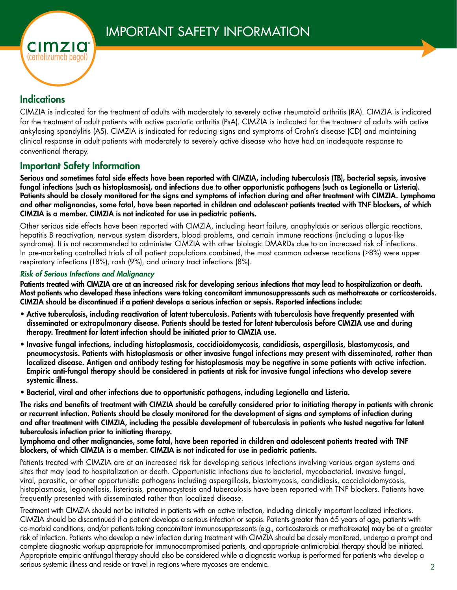

## **Indications**

CIMZIA is indicated for the treatment of adults with moderately to severely active rheumatoid arthritis (RA). CIMZIA is indicated for the treatment of adult patients with active psoriatic arthritis (PsA). CIMZIA is indicated for the treatment of adults with active ankylosing spondylitis (AS). CIMZIA is indicated for reducing signs and symptoms of Crohn's disease (CD) and maintaining clinical response in adult patients with moderately to severely active disease who have had an inadequate response to conventional therapy.

## Important Safety Information

Serious and sometimes fatal side effects have been reported with CIMZIA, including tuberculosis (TB), bacterial sepsis, invasive fungal infections (such as histoplasmosis), and infections due to other opportunistic pathogens (such as Legionella or Listeria). Patients should be closely monitored for the signs and symptoms of infection during and after treatment with CIMZIA. Lymphoma and other malignancies, some fatal, have been reported in children and adolescent patients treated with TNF blockers, of which CIMZIA is a member. CIMZIA is not indicated for use in pediatric patients.

Other serious side effects have been reported with CIMZIA, including heart failure, anaphylaxis or serious allergic reactions, hepatitis B reactivation, nervous system disorders, blood problems, and certain immune reactions (including a lupus-like syndrome). It is not recommended to administer CIMZIA with other biologic DMARDs due to an increased risk of infections. In pre-marketing controlled trials of all patient populations combined, the most common adverse reactions (≥8%) were upper respiratory infections (18%), rash (9%), and urinary tract infections (8%).

#### *Risk of Serious Infections and Malignancy*

Patients treated with CIMZIA are at an increased risk for developing serious infections that may lead to hospitalization or death. Most patients who developed these infections were taking concomitant immunosuppressants such as methotrexate or corticosteroids. CIMZIA should be discontinued if a patient develops a serious infection or sepsis. Reported infections include:

- Active tuberculosis, including reactivation of latent tuberculosis. Patients with tuberculosis have frequently presented with disseminated or extrapulmonary disease. Patients should be tested for latent tuberculosis before CIMZIA use and during therapy. Treatment for latent infection should be initiated prior to CIMZIA use.
- Invasive fungal infections, including histoplasmosis, coccidioidomycosis, candidiasis, aspergillosis, blastomycosis, and pneumocystosis. Patients with histoplasmosis or other invasive fungal infections may present with disseminated, rather than localized disease. Antigen and antibody testing for histoplasmosis may be negative in some patients with active infection. Empiric anti-fungal therapy should be considered in patients at risk for invasive fungal infections who develop severe systemic illness.
- Bacterial, viral and other infections due to opportunistic pathogens, including Legionella and Listeria.

The risks and benefits of treatment with CIMZIA should be carefully considered prior to initiating therapy in patients with chronic or recurrent infection. Patients should be closely monitored for the development of signs and symptoms of infection during and after treatment with CIMZIA, including the possible development of tuberculosis in patients who tested negative for latent tuberculosis infection prior to initiating therapy.

#### Lymphoma and other malignancies, some fatal, have been reported in children and adolescent patients treated with TNF blockers, of which CIMZIA is a member. CIMZIA is not indicated for use in pediatric patients.

Patients treated with CIMZIA are at an increased risk for developing serious infections involving various organ systems and sites that may lead to hospitalization or death. Opportunistic infections due to bacterial, mycobacterial, invasive fungal, viral, parasitic, or other opportunistic pathogens including aspergillosis, blastomycosis, candidiasis, coccidioidomycosis, histoplasmosis, legionellosis, listeriosis, pneumocystosis and tuberculosis have been reported with TNF blockers. Patients have frequently presented with disseminated rather than localized disease.

2 Treatment with CIMZIA should not be initiated in patients with an active infection, including clinically important localized infections. CIMZIA should be discontinued if a patient develops a serious infection or sepsis. Patients greater than 65 years of age, patients with co-morbid conditions, and/or patients taking concomitant immunosuppressants (e.g., corticosteroids or methotrexate) may be at a greater risk of infection. Patients who develop a new infection during treatment with CIMZIA should be closely monitored, undergo a prompt and complete diagnostic workup appropriate for immunocompromised patients, and appropriate antimicrobial therapy should be initiated. Appropriate empiric antifungal therapy should also be considered while a diagnostic workup is performed for patients who develop a serious systemic illness and reside or travel in regions where mycoses are endemic.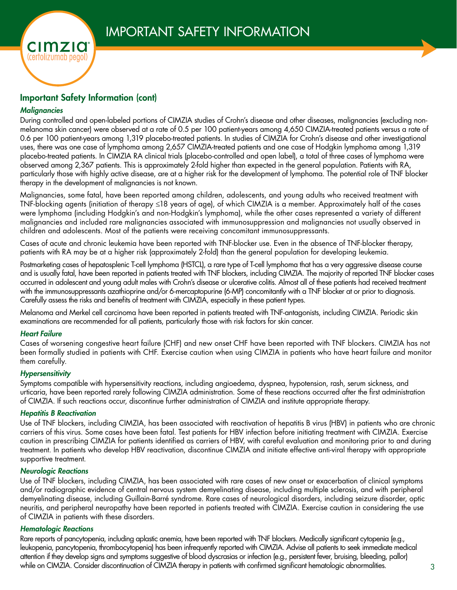

### Important Safety Information (cont)

#### *Malignancies*

During controlled and open-labeled portions of CIMZIA studies of Crohn's disease and other diseases, malignancies (excluding nonmelanoma skin cancer) were observed at a rate of 0.5 per 100 patient-years among 4,650 CIMZIA-treated patients versus a rate of 0.6 per 100 patient-years among 1,319 placebo-treated patients. In studies of CIMZIA for Crohn's disease and other investigational uses, there was one case of lymphoma among 2,657 CIMZIA-treated patients and one case of Hodgkin lymphoma among 1,319 placebo-treated patients. In CIMZIA RA clinical trials (placebo-controlled and open label), a total of three cases of lymphoma were observed among 2,367 patients. This is approximately 2-fold higher than expected in the general population. Patients with RA, particularly those with highly active disease, are at a higher risk for the development of lymphoma. The potential role of TNF blocker therapy in the development of malignancies is not known.

Malignancies, some fatal, have been reported among children, adolescents, and young adults who received treatment with TNF-blocking agents (initiation of therapy ≤18 years of age), of which CIMZIA is a member. Approximately half of the cases were lymphoma (including Hodgkin's and non-Hodgkin's lymphoma), while the other cases represented a variety of different malignancies and included rare malignancies associated with immunosuppression and malignancies not usually observed in children and adolescents. Most of the patients were receiving concomitant immunosuppressants.

Cases of acute and chronic leukemia have been reported with TNF-blocker use. Even in the absence of TNF-blocker therapy, patients with RA may be at a higher risk (approximately 2-fold) than the general population for developing leukemia.

Postmarketing cases of hepatosplenic T-cell lymphoma (HSTCL), a rare type of T-cell lymphoma that has a very aggressive disease course and is usually fatal, have been reported in patients treated with TNF blockers, including CIMZIA. The majority of reported TNF blocker cases occurred in adolescent and young adult males with Crohn's disease or ulcerative colitis. Almost all of these patients had received treatment with the immunosuppressants azathioprine and/or 6-mercaptopurine (6-MP) concomitantly with a TNF blocker at or prior to diagnosis. Carefully assess the risks and benefits of treatment with CIMZIA, especially in these patient types.

Melanoma and Merkel cell carcinoma have been reported in patients treated with TNF-antagonists, including CIMZIA. Periodic skin examinations are recommended for all patients, particularly those with risk factors for skin cancer.

#### *Heart Failure*

Cases of worsening congestive heart failure (CHF) and new onset CHF have been reported with TNF blockers. CIMZIA has not been formally studied in patients with CHF. Exercise caution when using CIMZIA in patients who have heart failure and monitor them carefully.

#### *Hypersensitivity*

Symptoms compatible with hypersensitivity reactions, including angioedema, dyspnea, hypotension, rash, serum sickness, and urticaria, have been reported rarely following CIMZIA administration. Some of these reactions occurred after the first administration of CIMZIA. If such reactions occur, discontinue further administration of CIMZIA and institute appropriate therapy.

#### *Hepatitis B Reactivation*

Use of TNF blockers, including CIMZIA, has been associated with reactivation of hepatitis B virus (HBV) in patients who are chronic carriers of this virus. Some cases have been fatal. Test patients for HBV infection before initiating treatment with CIMZIA. Exercise caution in prescribing CIMZIA for patients identified as carriers of HBV, with careful evaluation and monitoring prior to and during treatment. In patients who develop HBV reactivation, discontinue CIMZIA and initiate effective anti-viral therapy with appropriate supportive treatment.

#### *Neurologic Reactions*

Use of TNF blockers, including CIMZIA, has been associated with rare cases of new onset or exacerbation of clinical symptoms and/or radiographic evidence of central nervous system demyelinating disease, including multiple sclerosis, and with peripheral demyelinating disease, including Guillain-Barré syndrome. Rare cases of neurological disorders, including seizure disorder, optic neuritis, and peripheral neuropathy have been reported in patients treated with CIMZIA. Exercise caution in considering the use of CIMZIA in patients with these disorders.

#### *Hematologic Reactions*

Rare reports of pancytopenia, including aplastic anemia, have been reported with TNF blockers. Medically significant cytopenia (e.g., leukopenia, pancytopenia, thrombocytopenia) has been infrequently reported with CIMZIA. Advise all patients to seek immediate medical attention if they develop signs and symptoms suggestive of blood dyscrasias or infection (e.g., persistent fever, bruising, bleeding, pallor) while on CIMZIA. Consider discontinuation of CIMZIA therapy in patients with confirmed significant hematologic abnormalities.